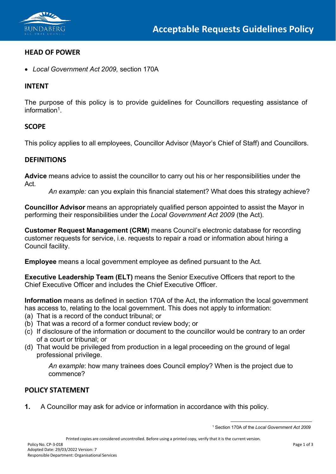

### **HEAD OF POWER**

• *Local Government Act 2009,* section 170A

### **INTENT**

The purpose of this policy is to provide guidelines for Councillors requesting assistance of informatio[n1.](#page-0-0)

### **SCOPE**

This policy applies to all employees, Councillor Advisor (Mayor's Chief of Staff) and Councillors.

### **DEFINITIONS**

**Advice** means advice to assist the councillor to carry out his or her responsibilities under the Act.

*An example:* can you explain this financial statement? What does this strategy achieve?

**Councillor Advisor** means an appropriately qualified person appointed to assist the Mayor in performing their responsibilities under the *Local Government Act 2009* (the Act).

**Customer Request Management (CRM)** means Council's electronic database for recording customer requests for service, i.e. requests to repair a road or information about hiring a Council facility.

**Employee** means a local government employee as defined pursuant to the Act.

**Executive Leadership Team (ELT)** means the Senior Executive Officers that report to the Chief Executive Officer and includes the Chief Executive Officer.

**Information** means as defined in section 170A of the Act, the information the local government has access to, relating to the local government. This does not apply to information:

- (a) That is a record of the conduct tribunal; or
- (b) That was a record of a former conduct review body; or
- (c) If disclosure of the information or document to the councillor would be contrary to an order of a court or tribunal; or
- (d) That would be privileged from production in a legal proceeding on the ground of legal professional privilege.

*An example*: how many trainees does Council employ? When is the project due to commence?

# **POLICY STATEMENT**

<span id="page-0-0"></span>**1.** A Councillor may ask for advice or information in accordance with this policy.

<sup>1</sup> Section 170A of the *Local Government Act 2009*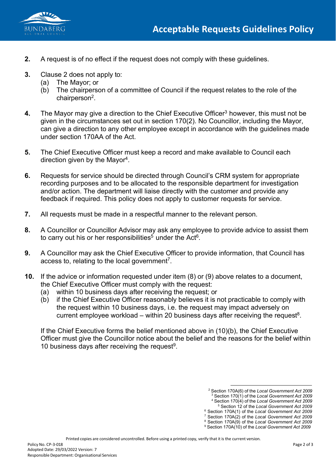



- **2.** A request is of no effect if the request does not comply with these guidelines.
- **3.** Clause 2 does not apply to:
	- (a) The Mayor; or
	- (b) The chairperson of a committee of Council if the request relates to the role of the chairperso[n2.](#page-1-0)
- **4.** The Mayor may give a direction to the Chief Executive Officer<sup>3</sup> however, this must not be given in the circumstances set out in section 170(2). No Councillor, including the Mayor, can give a direction to any other employee except in accordance with the guidelines made under section 170AA of the Act.
- **5.** The Chief Executive Officer must keep a record and make available to Council each direction given by the Mayo[r4.](#page-1-2)
- **6.** Requests for service should be directed through Council's CRM system for appropriate recording purposes and to be allocated to the responsible department for investigation and/or action. The department will liaise directly with the customer and provide any feedback if required. This policy does not apply to customer requests for service.
- **7.** All requests must be made in a respectful manner to the relevant person.
- **8.** A Councillor or Councillor Advisor may ask any employee to provide advice to assist them to carry out his or her responsibilities<sup>5</sup> under the Act<sup>6</sup>.
- **9.** A Councillor may ask the Chief Executive Officer to provide information, that Council has access to, relating to the local government<sup>7</sup>.
- **10.** If the advice or information requested under item (8) or (9) above relates to a document, the Chief Executive Officer must comply with the request:
	- (a) within 10 business days after receiving the request; or
	- (b) if the Chief Executive Officer reasonably believes it is not practicable to comply with the request within 10 business days, i.e. the request may impact adversely on current employee workload – within 20 business days after receiving the request<sup>8</sup>.

<span id="page-1-0"></span>If the Chief Executive forms the belief mentioned above in (10)(b), the Chief Executive Officer must give the Councillor notice about the belief and the reasons for the belief within 10 business days after receiving the request<sup>9</sup>.

- <sup>4</sup> Section 170(4) of the *Local Government Act 2009*
- <sup>5</sup> Section 12 of the *Local Government Act 2009*
- <sup>6</sup> Section 170A(1) of the *Local Government Act 2009*
- <sup>7</sup> Section 170A(2) of the *Local Government Act 2009*
- <sup>8</sup> Section 170A(9) of the *Local Government Act 2009* <sup>9</sup> Section 170A(10) of the *Local Government Act 2009*

<span id="page-1-7"></span><span id="page-1-6"></span><span id="page-1-5"></span><span id="page-1-4"></span><span id="page-1-3"></span><span id="page-1-2"></span><span id="page-1-1"></span>Printed copies are considered uncontrolled. Before using a printed copy, verify that it is the current version.

<sup>2</sup> Section 170A(6) of the *Local Government Act 2009*

<sup>3</sup> Section 170(1) of the *Local Government Act 2009*